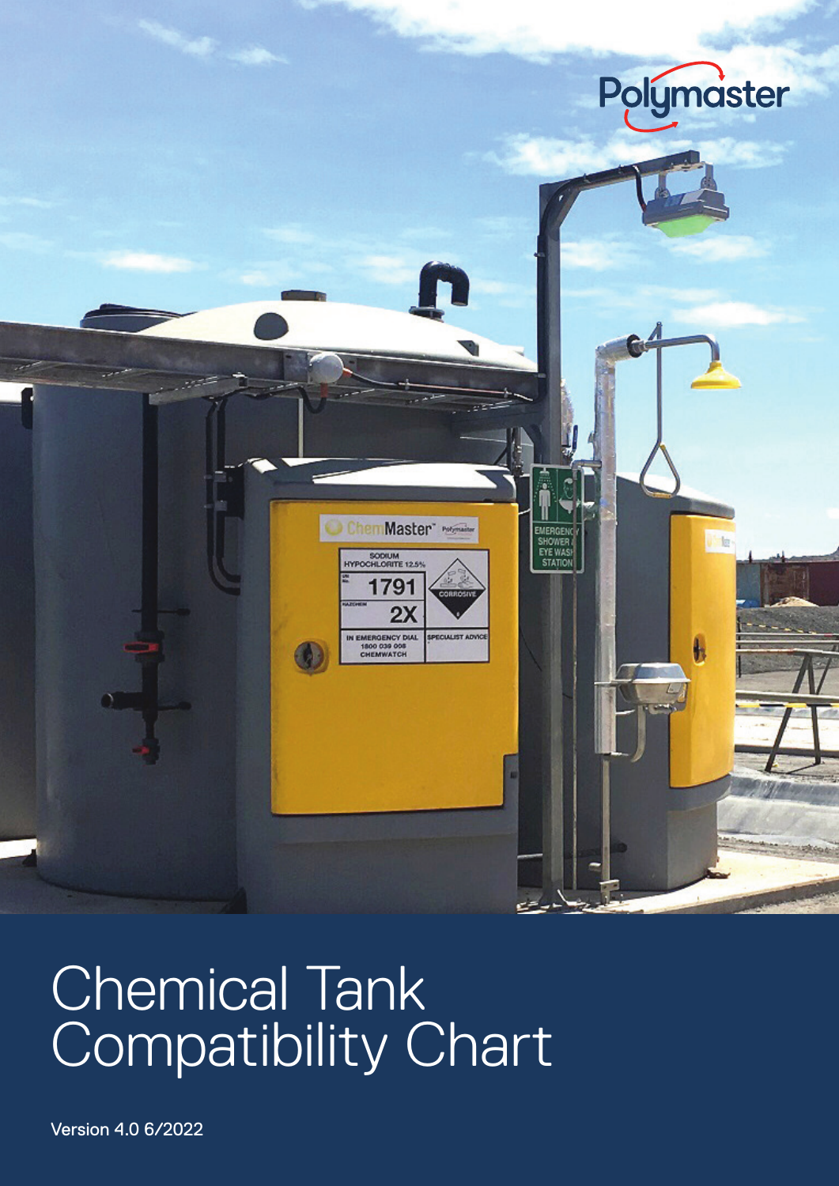

Version 4.0 6/2022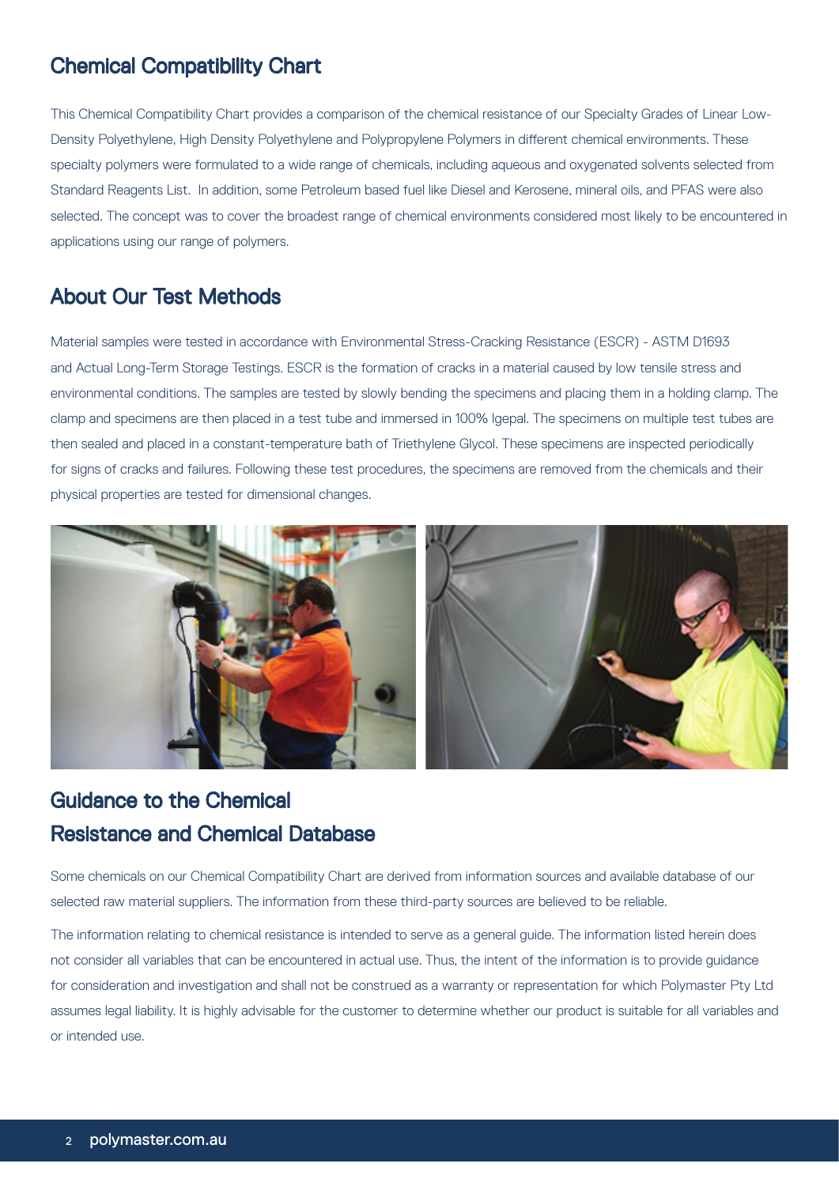This Chemical Compatibility Chart provides a comparison of the chemical resistance of our Specialty Grades of Linear Low-Density Polyethylene, High Density Polyethylene and Polypropylene Polymers in different chemical environments. These specialty polymers were formulated to a wide range of chemicals, including aqueous and oxygenated solvents selected from Standard Reagents List. In addition, some Petroleum based fuel like Diesel and Kerosene, mineral oils, and PFAS were also selected. The concept was to cover the broadest range of chemical environments considered most likely to be encountered in applications using our range of polymers.

#### About Our Test Methods

Material samples were tested in accordance with Environmental Stress-Cracking Resistance (ESCR) - ASTM D1693 and Actual Long-Term Storage Testings. ESCR is the formation of cracks in a material caused by low tensile stress and environmental conditions. The samples are tested by slowly bending the specimens and placing them in a holding clamp. The clamp and specimens are then placed in a test tube and immersed in 100% Igepal. The specimens on multiple test tubes are then sealed and placed in a constant-temperature bath of Triethylene Glycol. These specimens are inspected periodically for signs of cracks and failures. Following these test procedures, the specimens are removed from the chemicals and their physical properties are tested for dimensional changes.



#### Guidance to the Chemical Resistance and Chemical Database

Some chemicals on our Chemical Compatibility Chart are derived from information sources and available database of our selected raw material suppliers. The information from these third-party sources are believed to be reliable.

The information relating to chemical resistance is intended to serve as a general guide. The information listed herein does not consider all variables that can be encountered in actual use. Thus, the intent of the information is to provide guidance for consideration and investigation and shall not be construed as a warranty or representation for which Polymaster Pty Ltd assumes legal liability. It is highly advisable for the customer to determine whether our product is suitable for all variables and or intended use.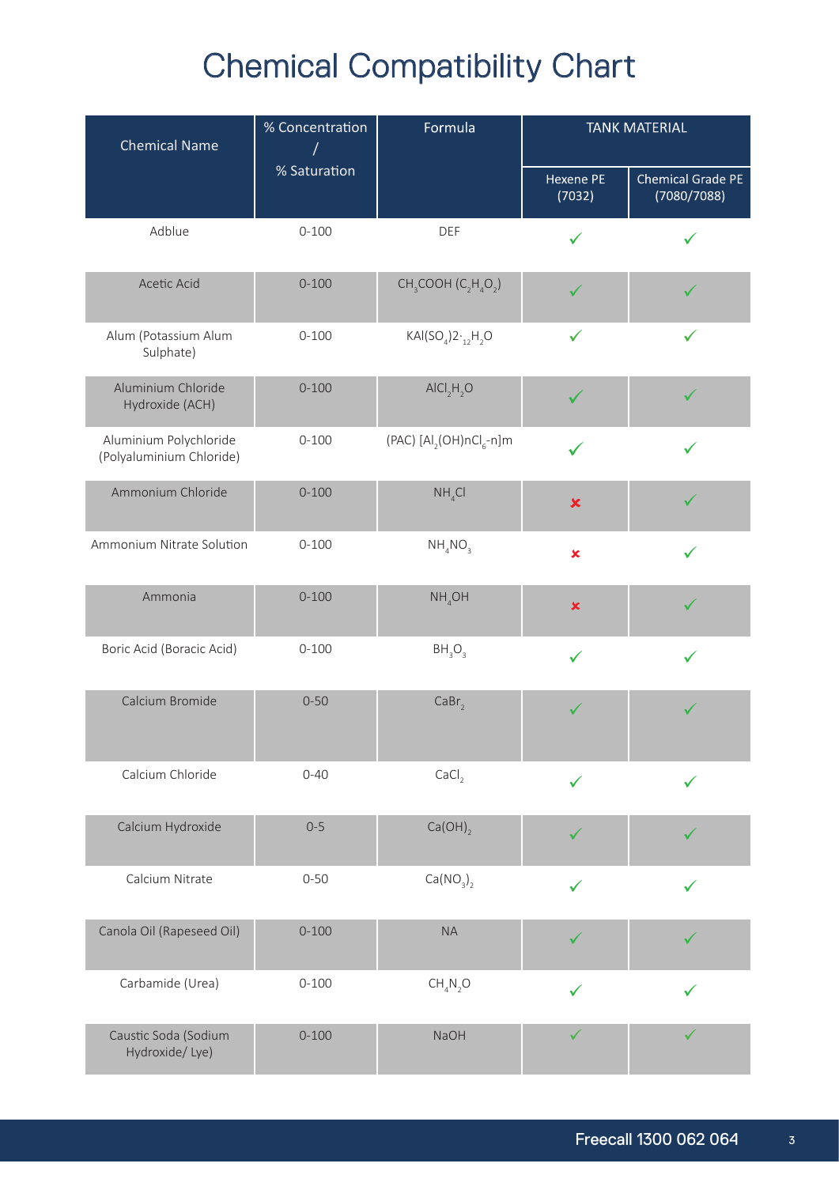| <b>Chemical Name</b>                               | % Concentration | Formula                                            |                     | <b>TANK MATERIAL</b>             |  |
|----------------------------------------------------|-----------------|----------------------------------------------------|---------------------|----------------------------------|--|
|                                                    | % Saturation    |                                                    | Hexene PE<br>(7032) | Chemical Grade PE<br>(7080/7088) |  |
| Adblue                                             | $0 - 100$       | <b>DEF</b>                                         | ✓                   |                                  |  |
| Acetic Acid                                        | $0 - 100$       | $CH3COOH (C2H4O2)$                                 |                     |                                  |  |
| Alum (Potassium Alum<br>Sulphate)                  | $0 - 100$       | $KAI(SO4)2.$ <sub>12</sub> H <sub>2</sub> O        | $\checkmark$        | $\checkmark$                     |  |
| Aluminium Chloride<br>Hydroxide (ACH)              | $0 - 100$       | AICI, H, O                                         |                     |                                  |  |
| Aluminium Polychloride<br>(Polyaluminium Chloride) | $0 - 100$       | (PAC) $\left[A\right]_2$ (OH)nCl <sub>6</sub> -n]m |                     |                                  |  |
| Ammonium Chloride                                  | $0 - 100$       | NH <sub>4</sub> Cl                                 | $\pmb{\times}$      |                                  |  |
| Ammonium Nitrate Solution                          | $0 - 100$       | NH <sub>4</sub> NO <sub>3</sub>                    | $\pmb{\times}$      |                                  |  |
| Ammonia                                            | $0 - 100$       | $NH_{4}OH$                                         | $\pmb{\times}$      |                                  |  |
| Boric Acid (Boracic Acid)                          | $0 - 100$       | BH <sub>3</sub> O <sub>3</sub>                     | $\checkmark$        |                                  |  |
| Calcium Bromide                                    | $0 - 50$        | CaBr <sub>2</sub>                                  | ✓                   |                                  |  |
| Calcium Chloride                                   | $0 - 40$        | CaCl <sub>2</sub>                                  | $\checkmark$        |                                  |  |
| Calcium Hydroxide                                  | $0 - 5$         | $Ca(OH)_{2}$                                       | ✓                   |                                  |  |
| Calcium Nitrate                                    | $0 - 50$        | Ca(NO <sub>3</sub> ) <sub>2</sub>                  | $\checkmark$        |                                  |  |
| Canola Oil (Rapeseed Oil)                          | $0 - 100$       | <b>NA</b>                                          |                     |                                  |  |
| Carbamide (Urea)                                   | $0 - 100$       | CH <sub>4</sub> N <sub>2</sub> O                   | ✓                   |                                  |  |
| Caustic Soda (Sodium<br>Hydroxide/Lye)             | $0 - 100$       | <b>NaOH</b>                                        |                     |                                  |  |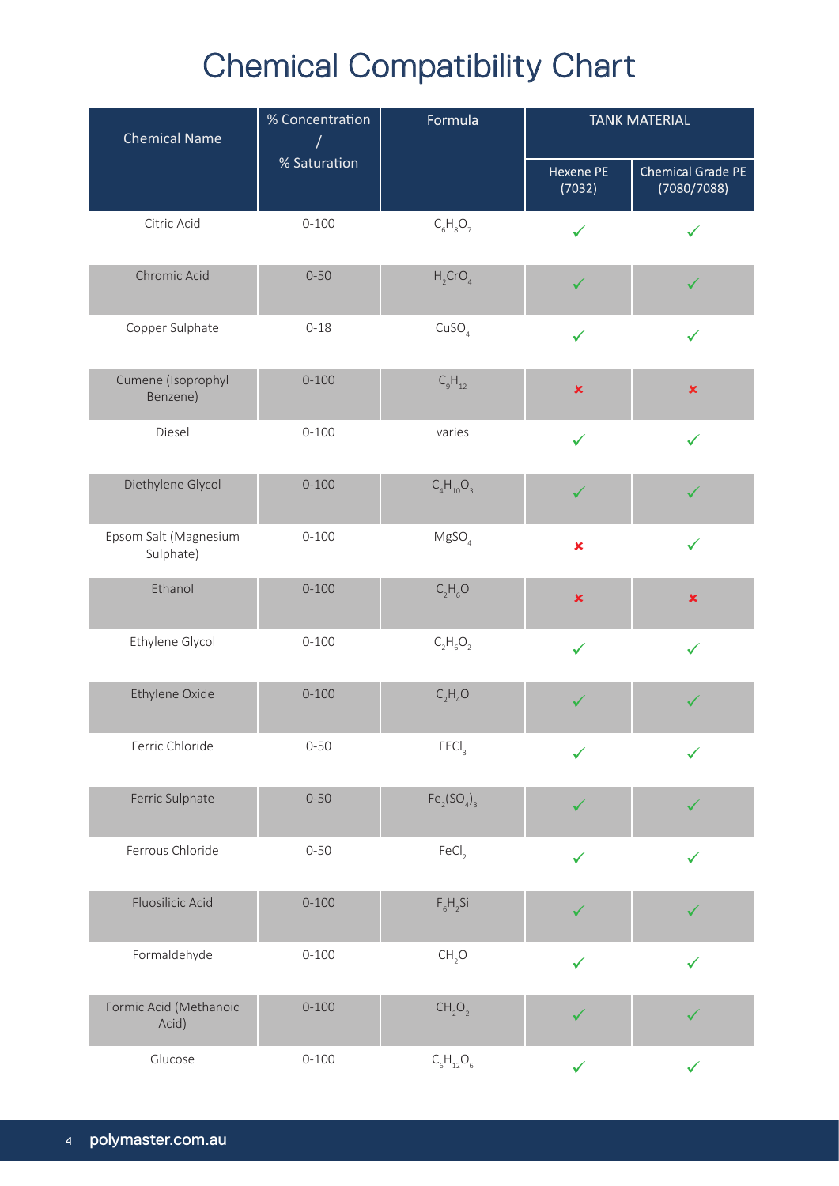| <b>Chemical Name</b>               | % Concentration<br>Formula<br>$\sqrt{ }$ | <b>TANK MATERIAL</b>           |                     |                                  |
|------------------------------------|------------------------------------------|--------------------------------|---------------------|----------------------------------|
|                                    | % Saturation                             |                                | Hexene PE<br>(7032) | Chemical Grade PE<br>(7080/7088) |
| Citric Acid                        | $0 - 100$                                | $C_6H_8O_7$                    | ✓                   |                                  |
| Chromic Acid                       | $0 - 50$                                 | $H_2$ CrO <sub>4</sub>         |                     |                                  |
| Copper Sulphate                    | $0 - 18$                                 | CuSO <sub>4</sub>              | ✓                   | ✓                                |
| Cumene (Isoprophyl<br>Benzene)     | $0 - 100$                                | $C_9H_{12}$                    | $\pmb{\times}$      | $\pmb{\times}$                   |
| Diesel                             | $0 - 100$                                | varies                         | $\checkmark$        | ✓                                |
| Diethylene Glycol                  | $0 - 100$                                | $C_4H_{10}O_3$                 | ✓                   |                                  |
| Epsom Salt (Magnesium<br>Sulphate) | $0 - 100$                                | MgSO <sub>4</sub>              | $\pmb{\times}$      | ✓                                |
| Ethanol                            | $0 - 100$                                | $C_2H_6O$                      | $\pmb{\times}$      | $\pmb{\times}$                   |
| Ethylene Glycol                    | $0 - 100$                                | $C_2H_6O_2$                    | $\checkmark$        | ✓                                |
| Ethylene Oxide                     | $0 - 100$                                | $C_2H_4O$                      | $\checkmark$        |                                  |
| Ferric Chloride                    | $0 - 50$                                 | FECI <sub>3</sub>              |                     |                                  |
| Ferric Sulphate                    | $0 - 50$                                 | $Fe_2(SO_4)_3$                 | ✓                   |                                  |
| Ferrous Chloride                   | $0 - 50$                                 | FeCl <sub>2</sub>              | $\checkmark$        |                                  |
| Fluosilicic Acid                   | $0 - 100$                                | $F_6H_2Si$                     | ✓                   |                                  |
| Formaldehyde                       | $0 - 100$                                | CH <sub>2</sub> O              | $\checkmark$        |                                  |
| Formic Acid (Methanoic<br>Acid)    | $0 - 100$                                | CH <sub>2</sub> O <sub>2</sub> | $\checkmark$        |                                  |
| Glucose                            | $0 - 100$                                | $C_6H_{12}O_6$                 | $\checkmark$        | $\checkmark$                     |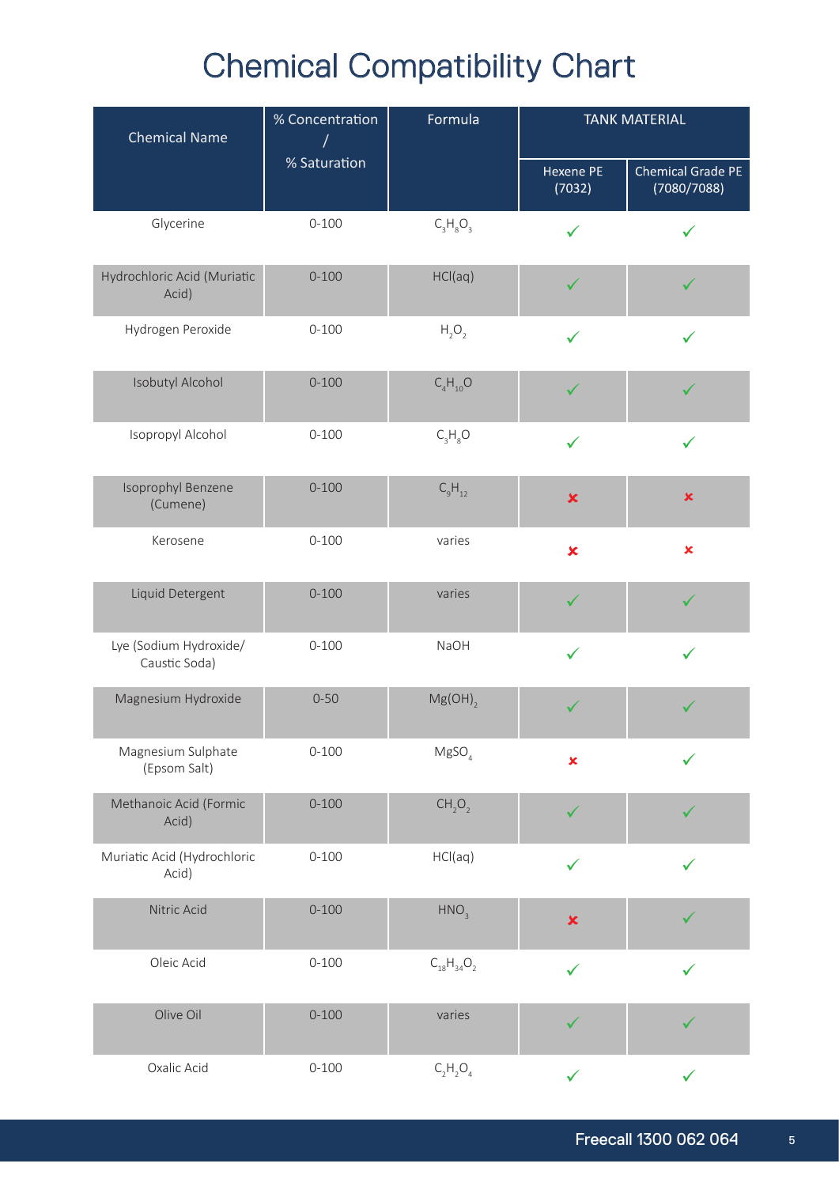| <b>Chemical Name</b>                    | % Concentration<br>Formula<br>$\sqrt{2}$ | <b>TANK MATERIAL</b>           |                     |                                  |
|-----------------------------------------|------------------------------------------|--------------------------------|---------------------|----------------------------------|
|                                         | % Saturation                             |                                | Hexene PE<br>(7032) | Chemical Grade PE<br>(7080/7088) |
| Glycerine                               | $0 - 100$                                | $C_3H_8O_3$                    | $\checkmark$        |                                  |
| Hydrochloric Acid (Muriatic<br>Acid)    | $0 - 100$                                | HCl(aq)                        |                     |                                  |
| Hydrogen Peroxide                       | $0 - 100$                                | $H_2O_2$                       | $\checkmark$        | ✓                                |
| Isobutyl Alcohol                        | $0 - 100$                                | $C_4H_{10}O$                   |                     |                                  |
| Isopropyl Alcohol                       | $0 - 100$                                | $C_3H_8O$                      | $\checkmark$        |                                  |
| Isoprophyl Benzene<br>(Cumene)          | $0 - 100$                                | $C_{9}H_{12}$                  | $\pmb{\times}$      | $\pmb{\times}$                   |
| Kerosene                                | $0 - 100$                                | varies                         | $\pmb{\times}$      | $\pmb{\times}$                   |
| Liquid Detergent                        | $0 - 100$                                | varies                         |                     |                                  |
| Lye (Sodium Hydroxide/<br>Caustic Soda) | $0 - 100$                                | <b>NaOH</b>                    | ✓                   |                                  |
| Magnesium Hydroxide                     | $0 - 50$                                 | $Mg(OH)$ <sub>2</sub>          |                     |                                  |
| Magnesium Sulphate<br>(Epsom Salt)      | $0 - 100$                                | MgSO <sub>4</sub>              | $\pmb{\times}$      |                                  |
| Methanoic Acid (Formic<br>Acid)         | $0 - 100$                                | CH <sub>2</sub> O <sub>2</sub> | ✓                   |                                  |
| Muriatic Acid (Hydrochloric<br>Acid)    | $0 - 100$                                | HCl(aq)                        | ✓                   |                                  |
| Nitric Acid                             | $0 - 100$                                | HNO <sub>3</sub>               | $\pmb{\times}$      |                                  |
| Oleic Acid                              | $0 - 100$                                | $C_{18}H_{34}O_2$              | $\checkmark$        |                                  |
| Olive Oil                               | $0 - 100$                                | varies                         | ✓                   |                                  |
| Oxalic Acid                             | $0 - 100$                                | $C_2H_2O_4$                    | $\checkmark$        | $\checkmark$                     |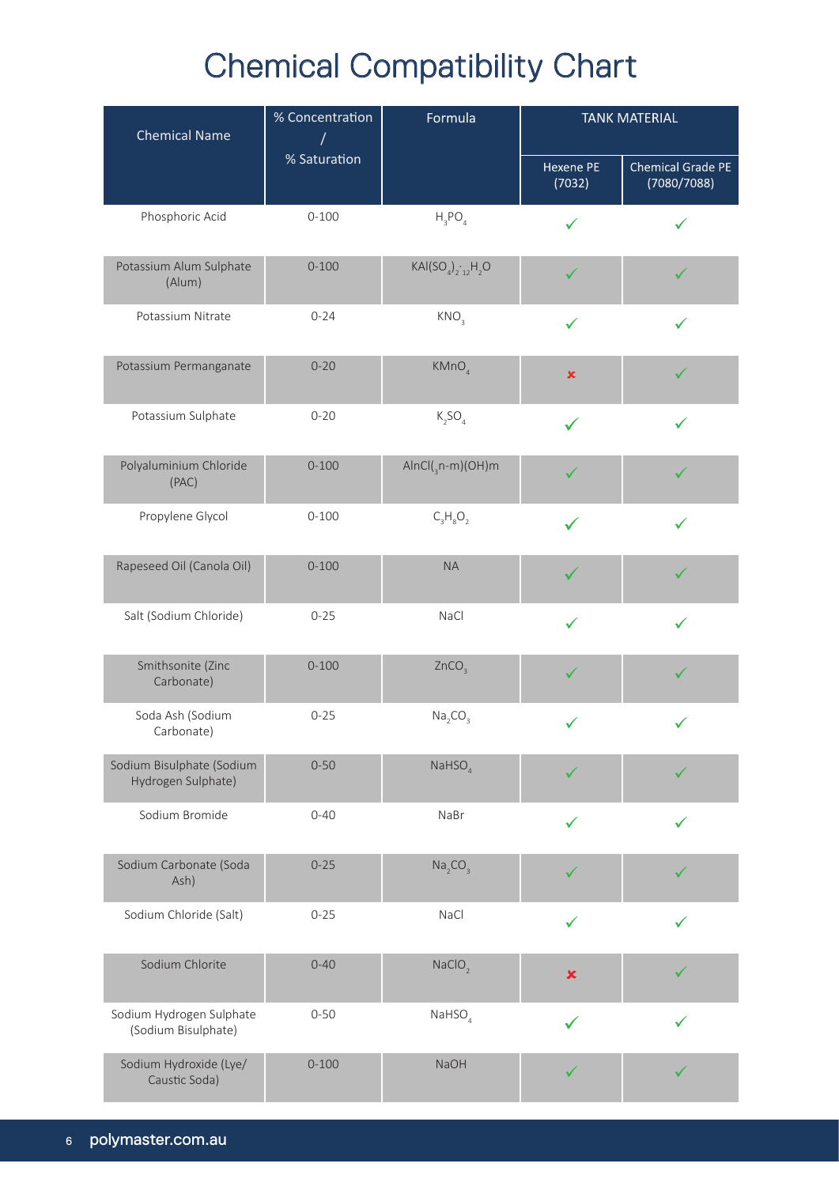| <b>Chemical Name</b>                            | % Concentration<br>Formula |                                 | <b>TANK MATERIAL</b> |                                  |
|-------------------------------------------------|----------------------------|---------------------------------|----------------------|----------------------------------|
|                                                 | % Saturation               |                                 | Hexene PE<br>(7032)  | Chemical Grade PE<br>(7080/7088) |
| Phosphoric Acid                                 | $0 - 100$                  | $H_3PO_4$                       | ✓                    |                                  |
| Potassium Alum Sulphate<br>(Alum)               | $0 - 100$                  | $KAI(SO4)212H2O$                | ✓                    |                                  |
| Potassium Nitrate                               | $0 - 24$                   | KNO <sub>3</sub>                | $\checkmark$         |                                  |
| Potassium Permanganate                          | $0 - 20$                   | KMnO <sub>4</sub>               | $\pmb{\times}$       |                                  |
| Potassium Sulphate                              | $0 - 20$                   | $K_2SO_4$                       | $\checkmark$         |                                  |
| Polyaluminium Chloride<br>(PAC)                 | $0 - 100$                  | $AlnCl(_{3}n-m)(OH)m$           |                      |                                  |
| Propylene Glycol                                | $0 - 100$                  | $C_3H_8O_2$                     |                      | ✓                                |
| Rapeseed Oil (Canola Oil)                       | $0 - 100$                  | <b>NA</b>                       |                      |                                  |
| Salt (Sodium Chloride)                          | $0 - 25$                   | NaCl                            | $\checkmark$         | $\checkmark$                     |
| Smithsonite (Zinc<br>Carbonate)                 | $0 - 100$                  | ZnCO <sub>3</sub>               | ✓                    | ✓                                |
| Soda Ash (Sodium<br>Carbonate)                  | $0 - 25$                   | Na <sub>2</sub> CO <sub>3</sub> |                      |                                  |
| Sodium Bisulphate (Sodium<br>Hydrogen Sulphate) | $0 - 50$                   | $N$ aHSO $_{4}$                 |                      |                                  |
| Sodium Bromide                                  | $0 - 40$                   | NaBr                            | ✓                    |                                  |
| Sodium Carbonate (Soda<br>Ash)                  | $0 - 25$                   | Na <sub>2</sub> CO <sub>3</sub> | ✓                    |                                  |
| Sodium Chloride (Salt)                          | $0 - 25$                   | NaCl                            | ✓                    |                                  |
| Sodium Chlorite                                 | $0 - 40$                   | NaClO <sub>2</sub>              | $\pmb{\times}$       |                                  |
| Sodium Hydrogen Sulphate<br>(Sodium Bisulphate) | $0 - 50$                   | $N$ aHSO $_4$                   |                      |                                  |
| Sodium Hydroxide (Lye/<br>Caustic Soda)         | $0 - 100$                  | NaOH                            |                      |                                  |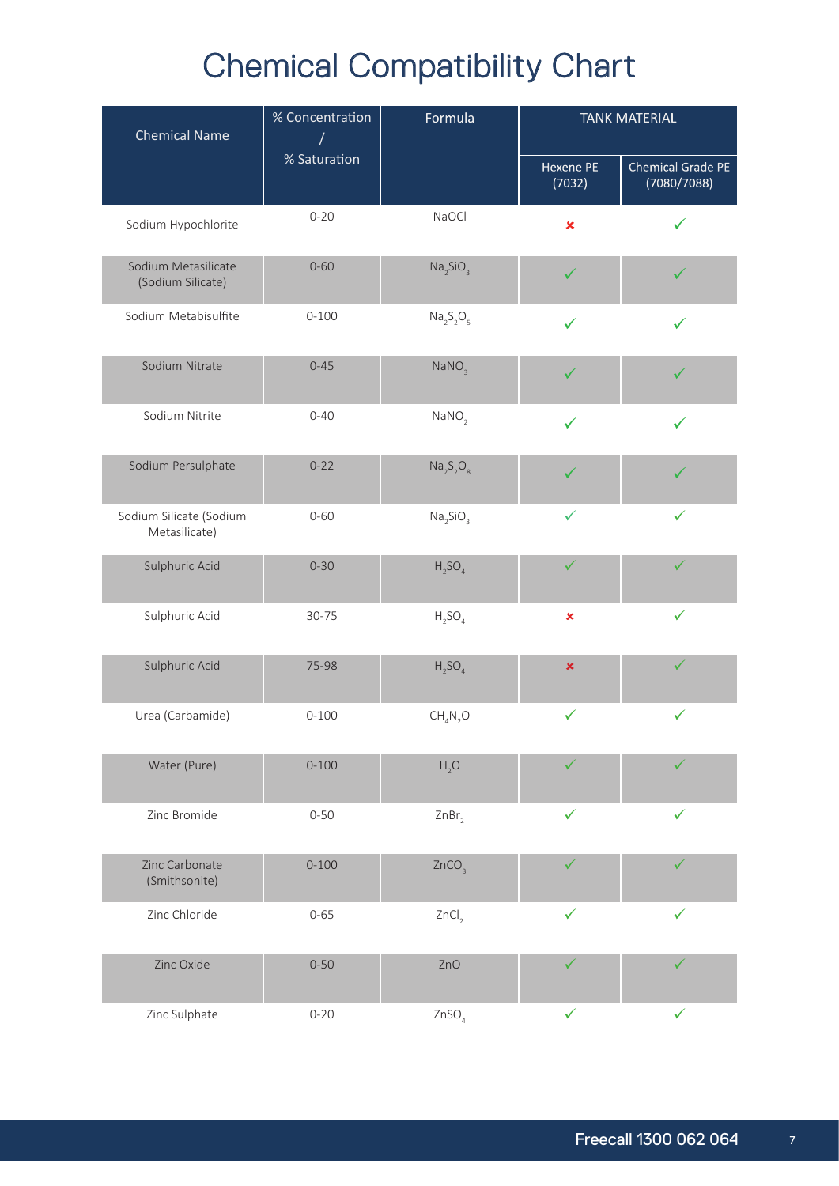| <b>Chemical Name</b>                     | % Concentration<br>Formula | <b>TANK MATERIAL</b>              |                     |                                         |
|------------------------------------------|----------------------------|-----------------------------------|---------------------|-----------------------------------------|
|                                          | % Saturation               |                                   | Hexene PE<br>(7032) | <b>Chemical Grade PE</b><br>(7080/7088) |
| Sodium Hypochlorite                      | $0 - 20$                   | NaOCl                             | $\pmb{\times}$      |                                         |
| Sodium Metasilicate<br>(Sodium Silicate) | $0 - 60$                   | Na <sub>2</sub> SiO <sub>3</sub>  | ✓                   |                                         |
| Sodium Metabisulfite                     | $0 - 100$                  | $Na2S2O5$                         | ✓                   |                                         |
| Sodium Nitrate                           | $0 - 45$                   | NaNO <sub>3</sub>                 | ✓                   |                                         |
| Sodium Nitrite                           | $0 - 40$                   | NANO <sub>2</sub>                 | ✓                   |                                         |
| Sodium Persulphate                       | $0 - 22$                   | $\text{Na}_2\text{S}_2\text{O}_8$ |                     |                                         |
| Sodium Silicate (Sodium<br>Metasilicate) | $0 - 60$                   | Na <sub>2</sub> SiO <sub>3</sub>  | ✓                   |                                         |
| Sulphuric Acid                           | $0 - 30$                   | $H_2SO_4$                         | $\checkmark$        | $\checkmark$                            |
| Sulphuric Acid                           | 30-75                      | $H_2SO_4$                         | $\pmb{\times}$      | $\checkmark$                            |
| Sulphuric Acid                           | 75-98                      | $H_2SO_4$                         | $\pmb{\times}$      | ✓                                       |
| Urea (Carbamide)                         | $0 - 100$                  | CH <sub>4</sub> N <sub>2</sub> O  | $\checkmark$        | ✓                                       |
| Water (Pure)                             | $0 - 100$                  | H, O                              |                     |                                         |
| Zinc Bromide                             | $0 - 50$                   | ZnBr <sub>2</sub>                 | ✓                   | ✓                                       |
| Zinc Carbonate<br>(Smithsonite)          | $0 - 100$                  | ZnCO <sub>3</sub>                 |                     |                                         |
| Zinc Chloride                            | $0 - 65$                   | ZnCl <sub>2</sub>                 |                     |                                         |
| Zinc Oxide                               | $0 - 50$                   | ZnO                               |                     |                                         |
| Zinc Sulphate                            | $0 - 20$                   | ZnSO <sub>4</sub>                 | $\checkmark$        | $\checkmark$                            |